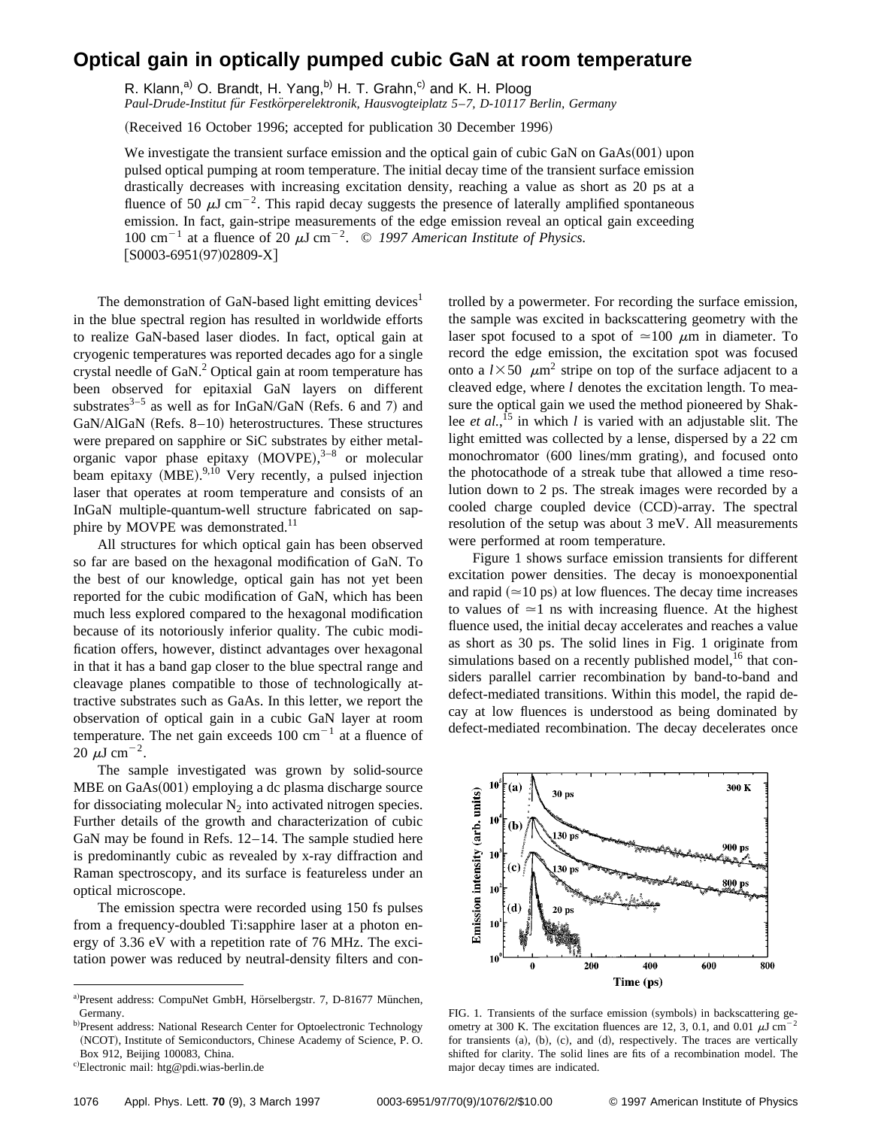## **Optical gain in optically pumped cubic GaN at room temperature**

R. Klann,<sup>a)</sup> O. Brandt, H. Yang,<sup>b)</sup> H. T. Grahn,<sup>c)</sup> and K. H. Ploog

*Paul-Drude-Institut fu¨r Festko¨rperelektronik, Hausvogteiplatz 5*–*7, D-10117 Berlin, Germany*

(Received 16 October 1996; accepted for publication 30 December 1996)

We investigate the transient surface emission and the optical gain of cubic GaN on  $GaAs(001)$  upon pulsed optical pumping at room temperature. The initial decay time of the transient surface emission drastically decreases with increasing excitation density, reaching a value as short as 20 ps at a fluence of 50  $\mu$ J cm<sup>-2</sup>. This rapid decay suggests the presence of laterally amplified spontaneous emission. In fact, gain-stripe measurements of the edge emission reveal an optical gain exceeding 100 cm<sup>-1</sup> at a fluence of 20  $\mu$ J cm<sup>-2</sup>. © 1997 American Institute of Physics.  $[SO003-6951(97)02809-X]$ 

The demonstration of GaN-based light emitting devices<sup>1</sup> in the blue spectral region has resulted in worldwide efforts to realize GaN-based laser diodes. In fact, optical gain at cryogenic temperatures was reported decades ago for a single crystal needle of GaN.<sup>2</sup> Optical gain at room temperature has been observed for epitaxial GaN layers on different substrates $3-5$  as well as for InGaN/GaN (Refs. 6 and 7) and GaN/AlGaN (Refs. 8–10) heterostructures. These structures were prepared on sapphire or SiC substrates by either metalorganic vapor phase epitaxy  $(MOVPE)$ ,  $3-8$  or molecular beam epitaxy (MBE).<sup>9,10</sup> Very recently, a pulsed injection laser that operates at room temperature and consists of an InGaN multiple-quantum-well structure fabricated on sapphire by MOVPE was demonstrated.<sup>11</sup>

All structures for which optical gain has been observed so far are based on the hexagonal modification of GaN. To the best of our knowledge, optical gain has not yet been reported for the cubic modification of GaN, which has been much less explored compared to the hexagonal modification because of its notoriously inferior quality. The cubic modification offers, however, distinct advantages over hexagonal in that it has a band gap closer to the blue spectral range and cleavage planes compatible to those of technologically attractive substrates such as GaAs. In this letter, we report the observation of optical gain in a cubic GaN layer at room temperature. The net gain exceeds  $100 \text{ cm}^{-1}$  at a fluence of 20  $\mu$ J cm<sup>-2</sup>.

The sample investigated was grown by solid-source  $MBE$  on  $GaAs(001)$  employing a dc plasma discharge source for dissociating molecular  $N_2$  into activated nitrogen species. Further details of the growth and characterization of cubic GaN may be found in Refs. 12–14. The sample studied here is predominantly cubic as revealed by x-ray diffraction and Raman spectroscopy, and its surface is featureless under an optical microscope.

The emission spectra were recorded using 150 fs pulses from a frequency-doubled Ti:sapphire laser at a photon energy of 3.36 eV with a repetition rate of 76 MHz. The excitation power was reduced by neutral-density filters and con-

c)Electronic mail: htg@pdi.wias-berlin.de

trolled by a powermeter. For recording the surface emission, the sample was excited in backscattering geometry with the laser spot focused to a spot of  $\simeq$  100  $\mu$ m in diameter. To record the edge emission, the excitation spot was focused onto a  $l \times 50$   $\mu$ m<sup>2</sup> stripe on top of the surface adjacent to a cleaved edge, where *l* denotes the excitation length. To measure the optical gain we used the method pioneered by Shaklee *et al.*, <sup>15</sup> in which *l* is varied with an adjustable slit. The light emitted was collected by a lense, dispersed by a 22 cm monochromator (600 lines/mm grating), and focused onto the photocathode of a streak tube that allowed a time resolution down to 2 ps. The streak images were recorded by a cooled charge coupled device (CCD)-array. The spectral resolution of the setup was about 3 meV. All measurements were performed at room temperature.

Figure 1 shows surface emission transients for different excitation power densities. The decay is monoexponential and rapid  $(\simeq 10 \text{ ps})$  at low fluences. The decay time increases to values of  $\approx$ 1 ns with increasing fluence. At the highest fluence used, the initial decay accelerates and reaches a value as short as 30 ps. The solid lines in Fig. 1 originate from simulations based on a recently published model,  $^{16}$  that considers parallel carrier recombination by band-to-band and defect-mediated transitions. Within this model, the rapid decay at low fluences is understood as being dominated by defect-mediated recombination. The decay decelerates once



FIG. 1. Transients of the surface emission (symbols) in backscattering geometry at 300 K. The excitation fluences are 12, 3, 0.1, and 0.01  $\mu$ J cm<sup>-2</sup> for transients (a), (b), (c), and (d), respectively. The traces are vertically shifted for clarity. The solid lines are fits of a recombination model. The major decay times are indicated.

a)Present address: CompuNet GmbH, Hörselbergstr. 7, D-81677 München, Germany.

b)Present address: National Research Center for Optoelectronic Technology (NCOT), Institute of Semiconductors, Chinese Academy of Science, P.O. Box 912, Beijing 100083, China.